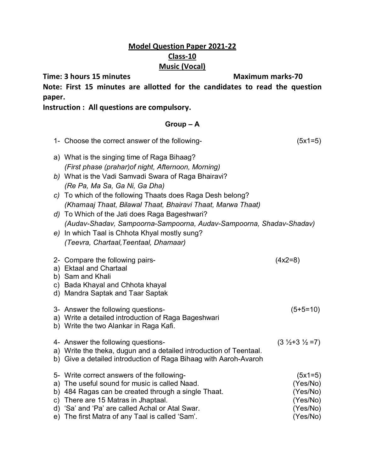## **Model Question Paper 2021-22 Class-10 Music (Vocal)**

**Time: 3 hours 15 minutes Maximum marks-70** 

**Note: First 15 minutes are allotted for the candidates to read the question paper.**

**Instruction : All questions are compulsory.**

## **Group – A**

| 1- Choose the correct answer of the following-                                                                                                                                                                                                                                                  | $(5x1=5)$                                                             |
|-------------------------------------------------------------------------------------------------------------------------------------------------------------------------------------------------------------------------------------------------------------------------------------------------|-----------------------------------------------------------------------|
| a) What is the singing time of Raga Bihaag?<br>(First phase (prahar) of night, Afternoon, Morning)                                                                                                                                                                                              |                                                                       |
| b) What is the Vadi Samvadi Swara of Raga Bhairavi?<br>(Re Pa, Ma Sa, Ga Ni, Ga Dha)                                                                                                                                                                                                            |                                                                       |
| c) To which of the following Thaats does Raga Desh belong?<br>(Khamaaj Thaat, Bilawal Thaat, Bhairavi Thaat, Marwa Thaat)                                                                                                                                                                       |                                                                       |
| d) To Which of the Jati does Raga Bageshwari?<br>(Audav-Shadav, Sampoorna-Sampoorna, Audav-Sampoorna, Shadav-Shadav)                                                                                                                                                                            |                                                                       |
| e) In which Taal is Chhota Khyal mostly sung?<br>(Teevra, Chartaal, Teentaal, Dhamaar)                                                                                                                                                                                                          |                                                                       |
| 2- Compare the following pairs-<br>a) Ektaal and Chartaal<br>b) Sam and Khali<br>c) Bada Khayal and Chhota khayal<br>d) Mandra Saptak and Taar Saptak                                                                                                                                           | $(4x2=8)$                                                             |
| 3- Answer the following questions-<br>a) Write a detailed introduction of Raga Bageshwari<br>b) Write the two Alankar in Raga Kafi.                                                                                                                                                             | $(5+5=10)$                                                            |
| 4- Answer the following questions-<br>a) Write the theka, dugun and a detailed introduction of Teentaal.<br>b) Give a detailed introduction of Raga Bihaag with Aaroh-Avaroh                                                                                                                    | $(3 \frac{1}{2} + 3 \frac{1}{2} = 7)$                                 |
| 5- Write correct answers of the following-<br>a) The useful sound for music is called Naad.<br>b) 484 Ragas can be created through a single Thaat.<br>c) There are 15 Matras in Jhaptaal.<br>d) 'Sa' and 'Pa' are called Achal or Atal Swar.<br>e) The first Matra of any Taal is called 'Sam'. | $(5x1=5)$<br>(Yes/No)<br>(Yes/No)<br>(Yes/No)<br>(Yes/No)<br>(Yes/No) |